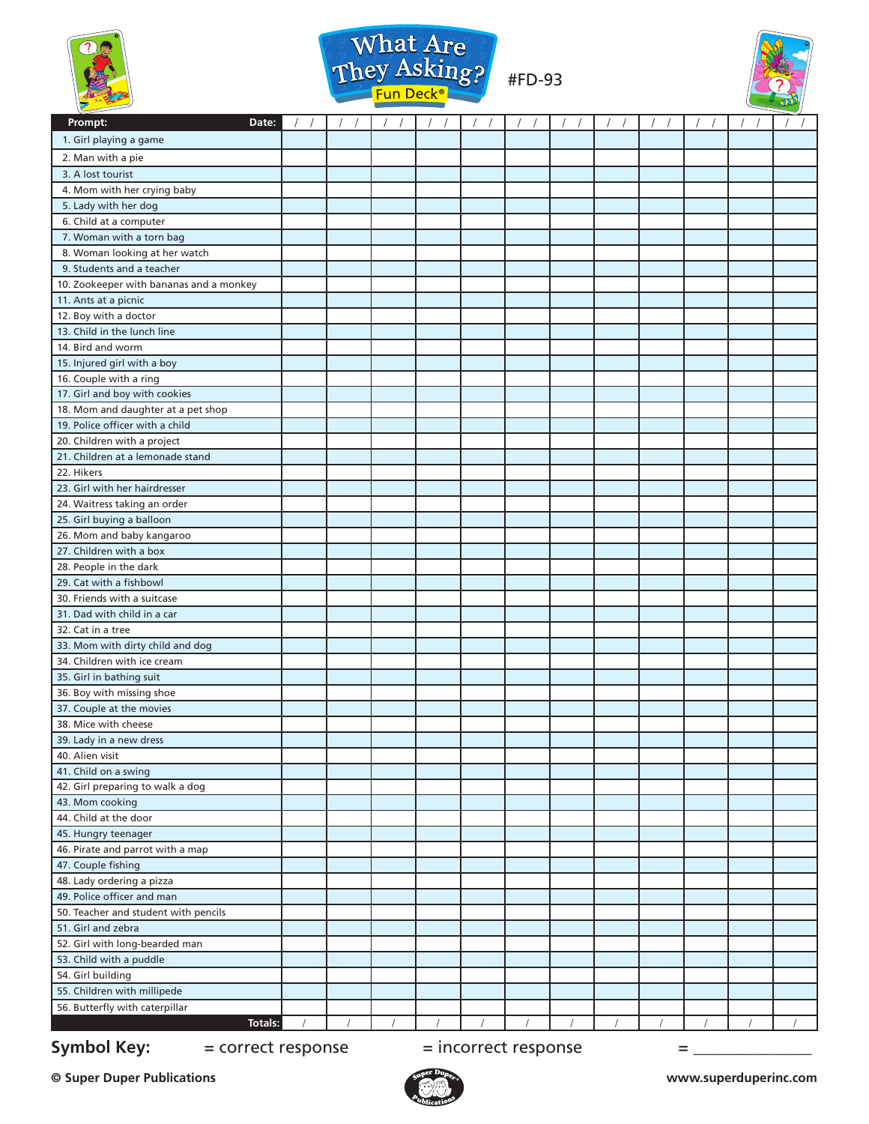





| Prompt:<br>Date:                        |  |  |  |  |  |  |
|-----------------------------------------|--|--|--|--|--|--|
| 1. Girl playing a game                  |  |  |  |  |  |  |
| 2. Man with a pie                       |  |  |  |  |  |  |
| 3. A lost tourist                       |  |  |  |  |  |  |
| 4. Mom with her crying baby             |  |  |  |  |  |  |
| 5. Lady with her dog                    |  |  |  |  |  |  |
| 6. Child at a computer                  |  |  |  |  |  |  |
| 7. Woman with a torn bag                |  |  |  |  |  |  |
| 8. Woman looking at her watch           |  |  |  |  |  |  |
| 9. Students and a teacher               |  |  |  |  |  |  |
| 10. Zookeeper with bananas and a monkey |  |  |  |  |  |  |
| 11. Ants at a picnic                    |  |  |  |  |  |  |
| 12. Boy with a doctor                   |  |  |  |  |  |  |
| 13. Child in the lunch line             |  |  |  |  |  |  |
| 14. Bird and worm                       |  |  |  |  |  |  |
| 15. Injured girl with a boy             |  |  |  |  |  |  |
| 16. Couple with a ring                  |  |  |  |  |  |  |
| 17. Girl and boy with cookies           |  |  |  |  |  |  |
| 18. Mom and daughter at a pet shop      |  |  |  |  |  |  |
| 19. Police officer with a child         |  |  |  |  |  |  |
| 20. Children with a project             |  |  |  |  |  |  |
| 21. Children at a lemonade stand        |  |  |  |  |  |  |
| 22. Hikers                              |  |  |  |  |  |  |
| 23. Girl with her hairdresser           |  |  |  |  |  |  |
| 24. Waitress taking an order            |  |  |  |  |  |  |
| 25. Girl buying a balloon               |  |  |  |  |  |  |
| 26. Mom and baby kangaroo               |  |  |  |  |  |  |
| 27. Children with a box                 |  |  |  |  |  |  |
| 28. People in the dark                  |  |  |  |  |  |  |
| 29. Cat with a fishbowl                 |  |  |  |  |  |  |
| 30. Friends with a suitcase             |  |  |  |  |  |  |
| 31. Dad with child in a car             |  |  |  |  |  |  |
| 32. Cat in a tree                       |  |  |  |  |  |  |
| 33. Mom with dirty child and dog        |  |  |  |  |  |  |
| 34. Children with ice cream             |  |  |  |  |  |  |
| 35. Girl in bathing suit                |  |  |  |  |  |  |
| 36. Boy with missing shoe               |  |  |  |  |  |  |
| 37. Couple at the movies                |  |  |  |  |  |  |
| 38. Mice with cheese                    |  |  |  |  |  |  |
| 39. Lady in a new dress                 |  |  |  |  |  |  |
| 40. Alien visit                         |  |  |  |  |  |  |
| 41. Child on a swing                    |  |  |  |  |  |  |
| 42. Girl preparing to walk a dog        |  |  |  |  |  |  |
| 43. Mom cooking                         |  |  |  |  |  |  |
| 44. Child at the door                   |  |  |  |  |  |  |
| 45. Hungry teenager                     |  |  |  |  |  |  |
| 46. Pirate and parrot with a map        |  |  |  |  |  |  |
| 47. Couple fishing                      |  |  |  |  |  |  |
| 48. Lady ordering a pizza               |  |  |  |  |  |  |
| 49. Police officer and man              |  |  |  |  |  |  |
| 50. Teacher and student with pencils    |  |  |  |  |  |  |
| 51. Girl and zebra                      |  |  |  |  |  |  |
| 52. Girl with long-bearded man          |  |  |  |  |  |  |
| 53. Child with a puddle                 |  |  |  |  |  |  |
| 54. Girl building                       |  |  |  |  |  |  |
| 55. Children with millipede             |  |  |  |  |  |  |
| 56. Butterfly with caterpillar          |  |  |  |  |  |  |
| Totals:                                 |  |  |  |  |  |  |

## **Symbol Key:**  $=$  correct response  $=$  incorrect response  $=$   $=$